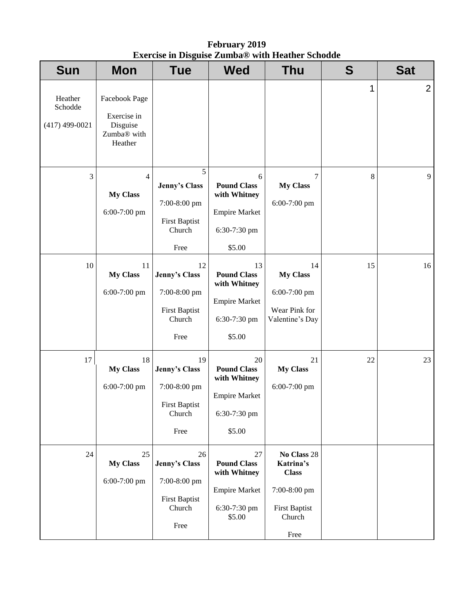**February 2019 Exercise in Disguise Zumba® with Heather Schodde** 

| <b>Sun</b>                             | <b>Mon</b>                                                                     | <b>Tue</b>                                                                                | <b>Wed</b>                                                                                 | <b>Thu</b>                                                                                         | S  | <b>Sat</b> |
|----------------------------------------|--------------------------------------------------------------------------------|-------------------------------------------------------------------------------------------|--------------------------------------------------------------------------------------------|----------------------------------------------------------------------------------------------------|----|------------|
| Heather<br>Schodde<br>$(417)$ 499-0021 | Facebook Page<br>Exercise in<br>Disguise<br>Zumba <sup>®</sup> with<br>Heather |                                                                                           |                                                                                            |                                                                                                    | 1  | 2          |
| 3                                      | $\overline{4}$<br><b>My Class</b><br>6:00-7:00 pm                              | $\overline{5}$<br>Jenny's Class<br>7:00-8:00 pm<br><b>First Baptist</b><br>Church<br>Free | 6<br><b>Pound Class</b><br>with Whitney<br><b>Empire Market</b><br>6:30-7:30 pm<br>\$5.00  | $\tau$<br><b>My Class</b><br>6:00-7:00 pm                                                          | 8  | 9          |
| 10                                     | 11<br><b>My Class</b><br>6:00-7:00 pm                                          | 12<br><b>Jenny's Class</b><br>7:00-8:00 pm<br><b>First Baptist</b><br>Church<br>Free      | 13<br><b>Pound Class</b><br>with Whitney<br><b>Empire Market</b><br>6:30-7:30 pm<br>\$5.00 | 14<br><b>My Class</b><br>6:00-7:00 pm<br>Wear Pink for<br>Valentine's Day                          | 15 | 16         |
| 17                                     | 18<br><b>My Class</b><br>6:00-7:00 pm                                          | 19<br><b>Jenny's Class</b><br>7:00-8:00 pm<br>First Baptist<br>Church<br>Free             | 20<br><b>Pound Class</b><br>with Whitney<br><b>Empire Market</b><br>6:30-7:30 pm<br>\$5.00 | 21<br><b>My Class</b><br>6:00-7:00 pm                                                              | 22 | 23         |
| 24                                     | 25<br><b>My Class</b><br>6:00-7:00 pm                                          | 26<br>Jenny's Class<br>7:00-8:00 pm<br><b>First Baptist</b><br>Church<br>Free             | 27<br><b>Pound Class</b><br>with Whitney<br><b>Empire Market</b><br>6:30-7:30 pm<br>\$5.00 | No Class 28<br>Katrina's<br><b>Class</b><br>7:00-8:00 pm<br><b>First Baptist</b><br>Church<br>Free |    |            |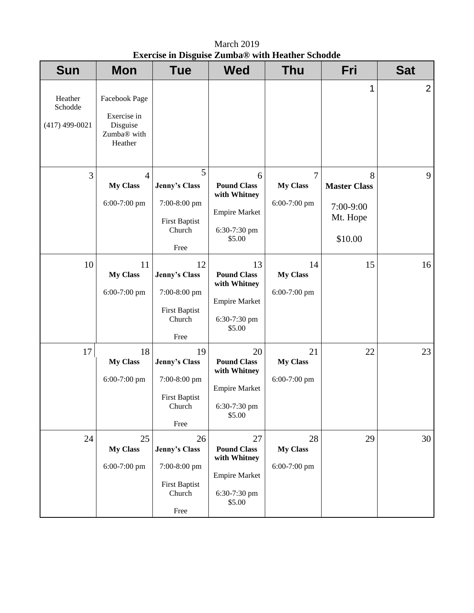March 2019 **Exercise in Disguise Zumba® with Heather Schodde** 

| <b>Sun</b>                             | <b>Mon</b>                                                                     | <b>Tue</b>                                                                           | <b>Wed</b>                                                                                 | <b>Thu</b>                                        | Fri                                                          | <b>Sat</b>     |
|----------------------------------------|--------------------------------------------------------------------------------|--------------------------------------------------------------------------------------|--------------------------------------------------------------------------------------------|---------------------------------------------------|--------------------------------------------------------------|----------------|
| Heather<br>Schodde<br>$(417)$ 499-0021 | Facebook Page<br>Exercise in<br>Disguise<br>Zumba <sup>®</sup> with<br>Heather |                                                                                      |                                                                                            |                                                   | 1                                                            | $\overline{2}$ |
| 3                                      | $\overline{4}$<br><b>My Class</b><br>6:00-7:00 pm                              | 5<br>Jenny's Class<br>7:00-8:00 pm<br><b>First Baptist</b><br>Church<br>Free         | 6<br><b>Pound Class</b><br>with Whitney<br><b>Empire Market</b><br>6:30-7:30 pm<br>\$5.00  | $\overline{7}$<br><b>My Class</b><br>6:00-7:00 pm | 8<br><b>Master Class</b><br>7:00-9:00<br>Mt. Hope<br>\$10.00 | 9              |
| 10                                     | 11<br><b>My Class</b><br>6:00-7:00 pm                                          | 12<br>Jenny's Class<br>7:00-8:00 pm<br><b>First Baptist</b><br>Church<br>Free        | 13<br><b>Pound Class</b><br>with Whitney<br><b>Empire Market</b><br>6:30-7:30 pm<br>\$5.00 | 14<br><b>My Class</b><br>6:00-7:00 pm             | 15                                                           | 16             |
| 17                                     | 18<br><b>My Class</b><br>$6:00-7:00$ pm                                        | 19<br><b>Jenny's Class</b><br>7:00-8:00 pm<br><b>First Baptist</b><br>Church<br>Free | 20<br><b>Pound Class</b><br>with Whitney<br><b>Empire Market</b><br>6:30-7:30 pm<br>\$5.00 | 21<br><b>My Class</b><br>6:00-7:00 pm             | 22                                                           | 23             |
| 24                                     | 25<br><b>My Class</b><br>6:00-7:00 pm                                          | 26<br><b>Jenny's Class</b><br>7:00-8:00 pm<br><b>First Baptist</b><br>Church<br>Free | 27<br><b>Pound Class</b><br>with Whitney<br><b>Empire Market</b><br>6:30-7:30 pm<br>\$5.00 | 28<br><b>My Class</b><br>6:00-7:00 pm             | 29                                                           | 30             |